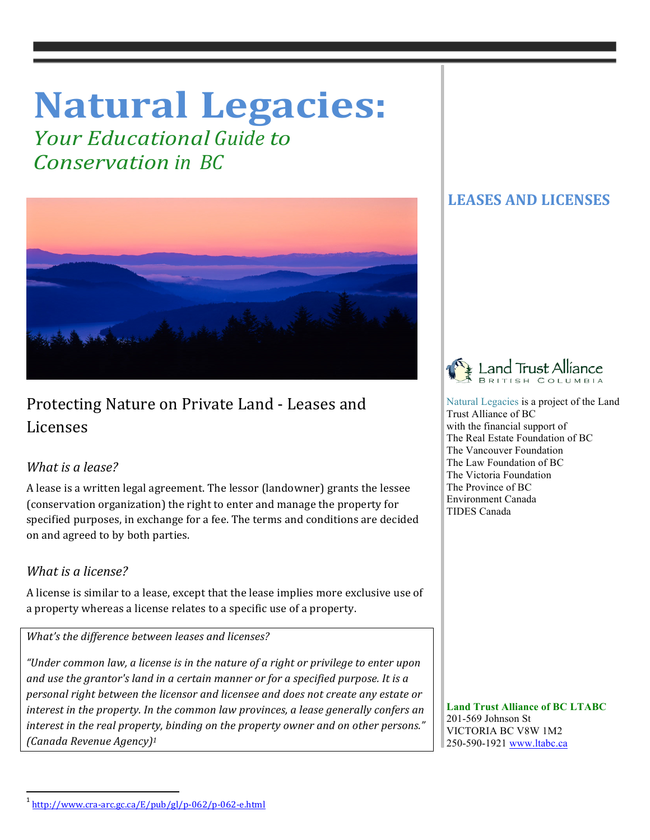# **Natural Legacies:**

*Your Educational Guide to Conservation in BC*



# Protecting Nature on Private Land - Leases and Licenses

## *What is a lease?*

A lease is a written legal agreement. The lessor (landowner) grants the lessee (conservation organization) the right to enter and manage the property for specified purposes, in exchange for a fee. The terms and conditions are decided on and agreed to by both parties.

## *What is a license?*

A license is similar to a lease, except that the lease implies more exclusive use of a property whereas a license relates to a specific use of a property.

*What's the difference between leases and licenses?* 

*"Under common law, a license is in the nature of a right or privilege to enter upon* and use the grantor's land in a certain manner or for a specified purpose. It is a *personal right between the licensor and licensee and does not create any estate or interest in the property. In the common law provinces, a lease generally confers an interest in the real property, binding on the property owner and on other persons." (Canada Revenue Agency)1*

# **LEASES AND LICENSES**



 Natural Legacies is a project of the Land Trust Alliance of BC with the financial support of The Real Estate Foundation of BC The Vancouver Foundation The Law Foundation of BC The Victoria Foundation The Province of BC Environment Canada TIDES Canada

 **Land Trust Alliance of BC LTABC** 201-569 Johnson St VICTORIA BC V8W 1M2 250-590-1921 www.ltabc.ca

<u> 1989 - Johann Stein, fransk politik (d. 1989)</u>

<sup>1</sup> http://www.cra-arc.gc.ca/E/pub/gl/p-062/p-062-e.html